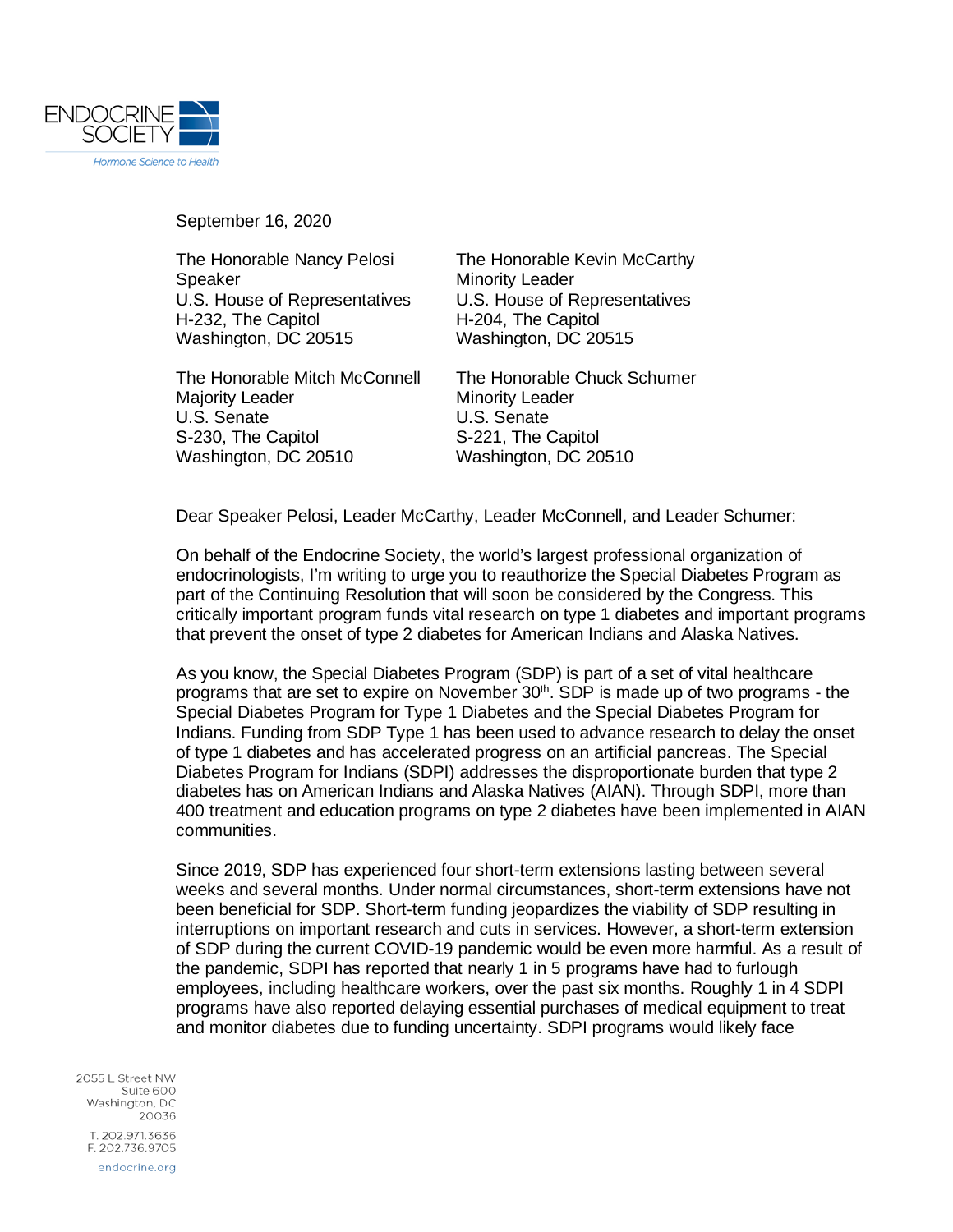

September 16, 2020

Speaker Minority Leader H-232, The Capitol **H-204**, The Capitol Washington, DC 20515 Washington, DC 20515

The Honorable Mitch McConnell The Honorable Chuck Schumer Majority Leader Minority Leader U.S. Senate<br>
S-230, The Capitol<br>
S-221, The Capitol<br>
S-221, The Capitol S-230, The Capitol Washington, DC 20510 Washington, DC 20510

The Honorable Nancy Pelosi The Honorable Kevin McCarthy U.S. House of Representatives U.S. House of Representatives

Dear Speaker Pelosi, Leader McCarthy, Leader McConnell, and Leader Schumer:

On behalf of the Endocrine Society, the world's largest professional organization of endocrinologists, I'm writing to urge you to reauthorize the Special Diabetes Program as part of the Continuing Resolution that will soon be considered by the Congress. This critically important program funds vital research on type 1 diabetes and important programs that prevent the onset of type 2 diabetes for American Indians and Alaska Natives.

As you know, the Special Diabetes Program (SDP) is part of a set of vital healthcare programs that are set to expire on November  $30<sup>th</sup>$ . SDP is made up of two programs - the Special Diabetes Program for Type 1 Diabetes and the Special Diabetes Program for Indians. Funding from SDP Type 1 has been used to advance research to delay the onset of type 1 diabetes and has accelerated progress on an artificial pancreas. The Special Diabetes Program for Indians (SDPI) addresses the disproportionate burden that type 2 diabetes has on American Indians and Alaska Natives (AIAN). Through SDPI, more than 400 treatment and education programs on type 2 diabetes have been implemented in AIAN communities.

Since 2019, SDP has experienced four short-term extensions lasting between several weeks and several months. Under normal circumstances, short-term extensions have not been beneficial for SDP. Short-term funding jeopardizes the viability of SDP resulting in interruptions on important research and cuts in services. However, a short-term extension of SDP during the current COVID-19 pandemic would be even more harmful. As a result of the pandemic, SDPI has reported that nearly 1 in 5 programs have had to furlough employees, including healthcare workers, over the past six months. Roughly 1 in 4 SDPI programs have also reported delaying essential purchases of medical equipment to treat and monitor diabetes due to funding uncertainty. SDPI programs would likely face

2055 | Street NW Suite 600 Washington, DC 20036 T. 202.971.3636 F. 202.736.9705 endocrine.org